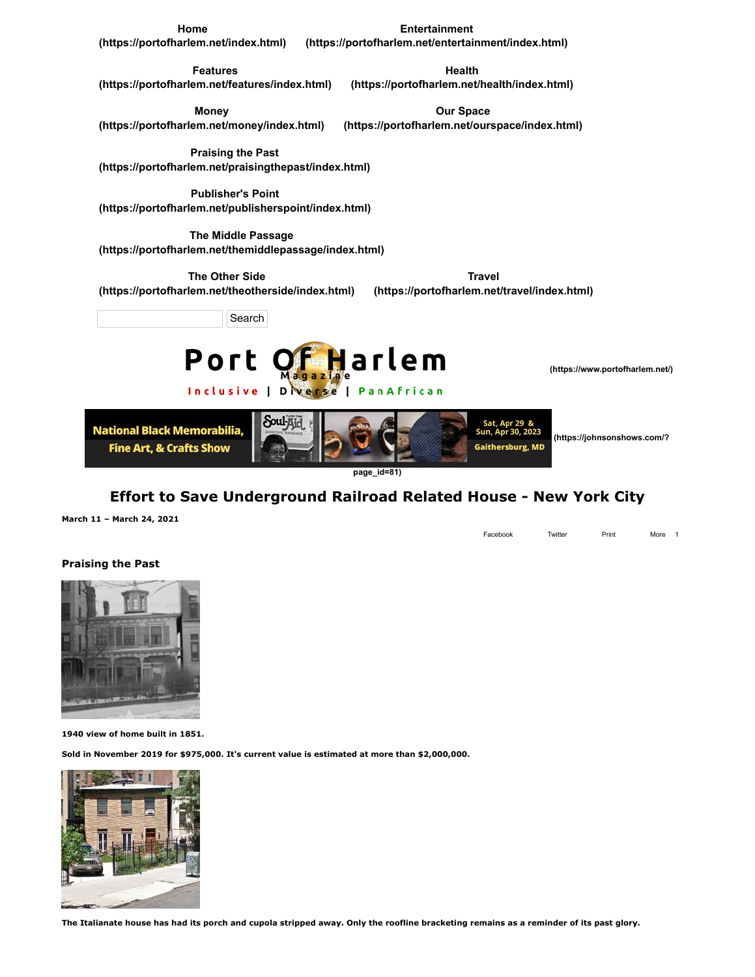**Home**

**Entertainment**

**[\(https://portofharlem.net/index.html\)](https://portofharlem.net/index.html) [\(https://portofharlem.net/entertainment/index.html\)](https://portofharlem.net/entertainment/index.html)**

> **Health [\(https://portofharlem.net/health/index.html\)](https://portofharlem.net/health/index.html)**

**Features [\(https://portofharlem.net/features/index.html\)](https://portofharlem.net/features/index.html)**

**Money**

**[\(https://portofharlem.net/money/index.html\)](https://portofharlem.net/money/index.html) Our Space [\(https://portofharlem.net/ourspace/index.html\)](https://portofharlem.net/ourspace/index.html)**

Inclusive | Diverse | PanAfrican

**Praising the Past [\(https://portofharlem.net/praisingthepast/index.html\)](https://portofharlem.net/praisingthepast/index.html)**

**Publisher's Point [\(https://portofharlem.net/publisherspoint/index.html\)](https://portofharlem.net/publisherspoint/index.html)**

**The Middle Passage [\(https://portofharlem.net/themiddlepassage/index.html\)](https://portofharlem.net/themiddlepassage/index.html)**

**The Other Side [\(https://portofharlem.net/theotherside/index.html\)](https://portofharlem.net/theotherside/index.html)**

**Travel [\(https://portofharlem.net/travel/index.html\)](https://portofharlem.net/travel/index.html)**

Search



 **[\(https://www.portofharlem.net/\)](https://www.portofharlem.net/)**



**page\_id=81)**

## **Effort to Save Underground Railroad Related House - New York City**

**March 11 – March 24, 2021**

Facebook Twitter Print More 1

## **Praising the Past**



**1940 view of home built in 1851.** 

**Sold in November 2019 for \$975,000. It's current value is estimated at more than \$2,000,000.**



**The Italianate house has had its porch and cupola stripped away. Only the roofline bracketing remains as a reminder of its past glory.**